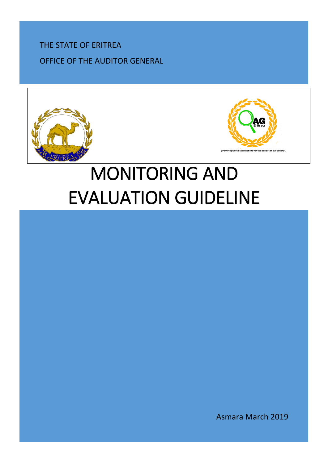THE STATE OF ERITREA OFFICE OF THE AUDITOR GENERAL





# MONITORING AND EVALUATION GUIDELINE

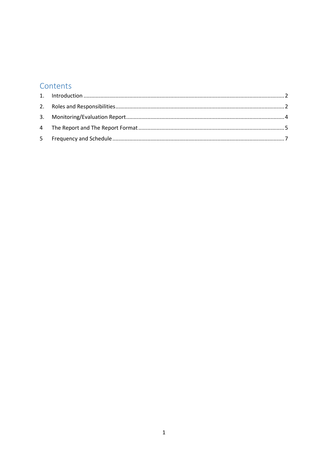# Contents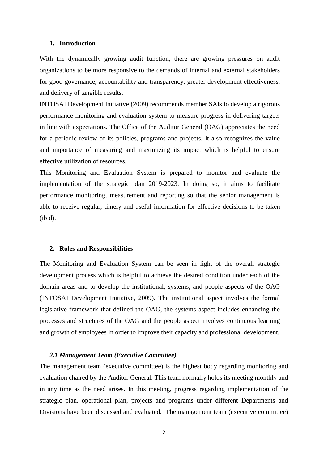#### <span id="page-2-0"></span>**1. Introduction**

With the dynamically growing audit function, there are growing pressures on audit organizations to be more responsive to the demands of internal and external stakeholders for good governance, accountability and transparency, greater development effectiveness, and delivery of tangible results.

INTOSAI Development Initiative (2009) recommends member SAIs to develop a rigorous performance monitoring and evaluation system to measure progress in delivering targets in line with expectations. The Office of the Auditor General (OAG) appreciates the need for a periodic review of its policies, programs and projects. It also recognizes the value and importance of measuring and maximizing its impact which is helpful to ensure effective utilization of resources.

This Monitoring and Evaluation System is prepared to monitor and evaluate the implementation of the strategic plan 2019-2023. In doing so, it aims to facilitate performance monitoring, measurement and reporting so that the senior management is able to receive regular, timely and useful information for effective decisions to be taken (ibid).

#### <span id="page-2-1"></span>**2. Roles and Responsibilities**

The Monitoring and Evaluation System can be seen in light of the overall strategic development process which is helpful to achieve the desired condition under each of the domain areas and to develop the institutional, systems, and people aspects of the OAG (INTOSAI Development Initiative, 2009). The institutional aspect involves the formal legislative framework that defined the OAG, the systems aspect includes enhancing the processes and structures of the OAG and the people aspect involves continuous learning and growth of employees in order to improve their capacity and professional development.

#### *2.1 Management Team (Executive Committee)*

The management team (executive committee) is the highest body regarding monitoring and evaluation chaired by the Auditor General. This team normally holds its meeting monthly and in any time as the need arises. In this meeting, progress regarding implementation of the strategic plan, operational plan, projects and programs under different Departments and Divisions have been discussed and evaluated. The management team (executive committee)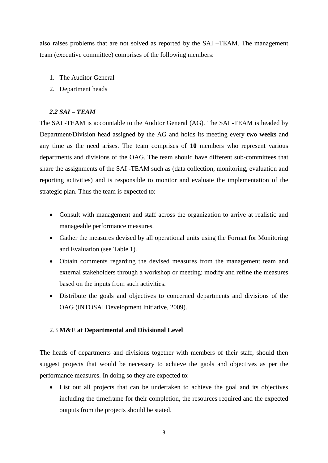also raises problems that are not solved as reported by the SAI –TEAM. The management team (executive committee) comprises of the following members:

- 1. The Auditor General
- 2. Department heads

# *2.2 SAI – TEAM*

The SAI -TEAM is accountable to the Auditor General (AG). The SAI -TEAM is headed by Department/Division head assigned by the AG and holds its meeting every **two weeks** and any time as the need arises. The team comprises of **10** members who represent various departments and divisions of the OAG. The team should have different sub-committees that share the assignments of the SAI -TEAM such as (data collection, monitoring, evaluation and reporting activities) and is responsible to monitor and evaluate the implementation of the strategic plan. Thus the team is expected to:

- Consult with management and staff across the organization to arrive at realistic and manageable performance measures.
- Gather the measures devised by all operational units using the Format for Monitoring and Evaluation (see Table 1).
- Obtain comments regarding the devised measures from the management team and external stakeholders through a workshop or meeting; modify and refine the measures based on the inputs from such activities.
- Distribute the goals and objectives to concerned departments and divisions of the OAG (INTOSAI Development Initiative, 2009).

#### 2.3 **M&E at Departmental and Divisional Level**

The heads of departments and divisions together with members of their staff, should then suggest projects that would be necessary to achieve the gaols and objectives as per the performance measures. In doing so they are expected to:

 List out all projects that can be undertaken to achieve the goal and its objectives including the timeframe for their completion, the resources required and the expected outputs from the projects should be stated.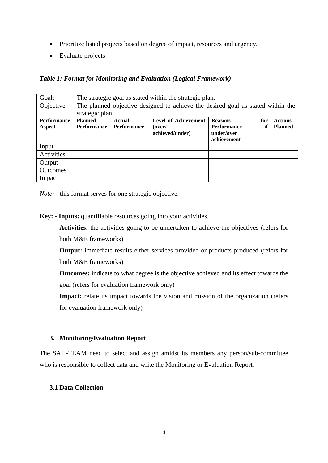- Prioritize listed projects based on degree of impact, resources and urgency.
- Evaluate projects

*Table 1: Format for Monitoring and Evaluation (Logical Framework)*

| Goal:              | The strategic goal as stated within the strategic plan.                         |             |                      |                    |     |                |  |  |
|--------------------|---------------------------------------------------------------------------------|-------------|----------------------|--------------------|-----|----------------|--|--|
| Objective          | The planned objective designed to achieve the desired goal as stated within the |             |                      |                    |     |                |  |  |
|                    | strategic plan.                                                                 |             |                      |                    |     |                |  |  |
| <b>Performance</b> | <b>Planned</b>                                                                  | Actual      | Level of Achievement | <b>Reasons</b>     | for | <b>Actions</b> |  |  |
| Aspect             | <b>Performance</b>                                                              | Performance | (over/               | <b>Performance</b> | if  | <b>Planned</b> |  |  |
|                    |                                                                                 |             | achieved/under)      | under/over         |     |                |  |  |
|                    |                                                                                 |             |                      | achievement        |     |                |  |  |
| Input              |                                                                                 |             |                      |                    |     |                |  |  |
| Activities         |                                                                                 |             |                      |                    |     |                |  |  |
| Output             |                                                                                 |             |                      |                    |     |                |  |  |
| <b>Outcomes</b>    |                                                                                 |             |                      |                    |     |                |  |  |
| Impact             |                                                                                 |             |                      |                    |     |                |  |  |

*Note:* - this format serves for one strategic objective.

**Key: - Inputs:** quantifiable resources going into your activities.

**Activities:** the activities going to be undertaken to achieve the objectives (refers for both M&E frameworks)

**Output:** immediate results either services provided or products produced (refers for both M&E frameworks)

**Outcomes:** indicate to what degree is the objective achieved and its effect towards the goal (refers for evaluation framework only)

**Impact:** relate its impact towards the vision and mission of the organization (refers for evaluation framework only)

### <span id="page-4-0"></span>**3. Monitoring/Evaluation Report**

The SAI -TEAM need to select and assign amidst its members any person/sub-committee who is responsible to collect data and write the Monitoring or Evaluation Report.

### **3.1 Data Collection**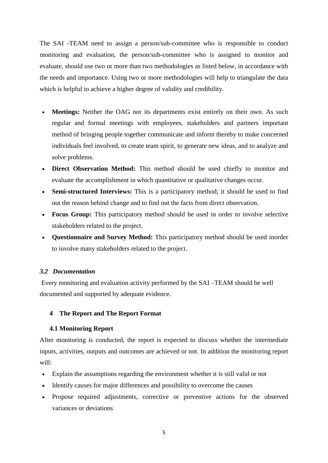The SAI -TEAM need to assign a person/sub-committee who is responsible to conduct monitoring and evaluation, the person/sub-committee who is assigned to monitor and evaluate, should use two or more than two methodologies as listed below, in accordance with the needs and importance. Using two or more methodologies will help to triangulate the data which is helpful to achieve a higher degree of validity and credibility.

- **Meetings:** Neither the OAG nor its departments exist entirely on their own. As such regular and formal meetings with employees, stakeholders and partners important method of bringing people together communicate and inform thereby to make concerned individuals feel involved, to create team spirit, to generate new ideas, and to analyze and solve problems.
- Direct Observation Method: This method should be used chiefly to monitor and evaluate the accomplishment in which quantitative or qualitative changes occur.
- **Semi**‐**structured Interviews:** This is a participatory method; it should be used to find out the reason behind change and to find out the facts from direct observation.
- **Focus Group:** This participatory method should be used in order to involve selective stakeholders related to the project.
- **Questionnaire and Survey Method:** This participatory method should be used inorder to involve many stakeholders related to the project.

### *3.2 Documentation*

Every monitoring and evaluation activity performed by the SAI –TEAM should be well documented and supported by adequate evidence.

### <span id="page-5-0"></span>**4 The Report and The Report Format**

### **4.1 Monitoring Report**

After monitoring is conducted, the report is expected to discuss whether the intermediate inputs, activities, outputs and outcomes are achieved or not. In addition the monitoring report will:

- Explain the assumptions regarding the environment whether it is still valid or not
- Identify causes for major differences and possibility to overcome the causes
- Propose required adjustments, corrective or preventive actions for the observed variances or deviations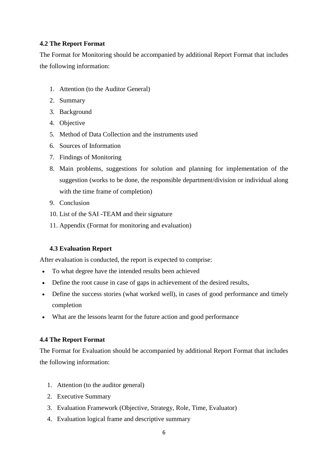# **4.2 The Report Format**

The Format for Monitoring should be accompanied by additional Report Format that includes the following information:

- 1. Attention (to the Auditor General)
- 2. Summary
- 3. Background
- 4. Objective
- 5. Method of Data Collection and the instruments used
- 6. Sources of Information
- 7. Findings of Monitoring
- 8. Main problems, suggestions for solution and planning for implementation of the suggestion (works to be done, the responsible department/division or individual along with the time frame of completion)
- 9. Conclusion
- 10. List of the SAI -TEAM and their signature
- 11. Appendix (Format for monitoring and evaluation)

# **4.3 Evaluation Report**

After evaluation is conducted, the report is expected to comprise:

- To what degree have the intended results been achieved
- Define the root cause in case of gaps in achievement of the desired results,
- Define the success stories (what worked well), in cases of good performance and timely completion
- What are the lessons learnt for the future action and good performance

### **4.4 The Report Format**

The Format for Evaluation should be accompanied by additional Report Format that includes the following information:

- 1. Attention (to the auditor general)
- 2. Executive Summary
- 3. Evaluation Framework (Objective, Strategy, Role, Time, Evaluator)
- 4. Evaluation logical frame and descriptive summary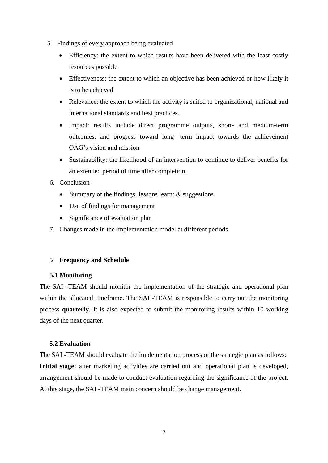- 5. Findings of every approach being evaluated
	- Efficiency: the extent to which results have been delivered with the least costly resources possible
	- Effectiveness: the extent to which an objective has been achieved or how likely it is to be achieved
	- Relevance: the extent to which the activity is suited to organizational, national and international standards and best practices.
	- Impact: results include direct programme outputs, short- and medium-term outcomes, and progress toward long- term impact towards the achievement OAG's vision and mission
	- Sustainability: the likelihood of an intervention to continue to deliver benefits for an extended period of time after completion.
- 6. Conclusion
	- Summary of the findings, lessons learnt  $&$  suggestions
	- Use of findings for management
	- Significance of evaluation plan
- 7. Changes made in the implementation model at different periods

### <span id="page-7-0"></span>**5 Frequency and Schedule**

## **5.1 Monitoring**

The SAI -TEAM should monitor the implementation of the strategic and operational plan within the allocated timeframe. The SAI -TEAM is responsible to carry out the monitoring process **quarterly.** It is also expected to submit the monitoring results within 10 working days of the next quarter.

#### **5.2 Evaluation**

The SAI -TEAM should evaluate the implementation process of the strategic plan as follows: Initial stage: after marketing activities are carried out and operational plan is developed, arrangement should be made to conduct evaluation regarding the significance of the project. At this stage, the SAI -TEAM main concern should be change management.